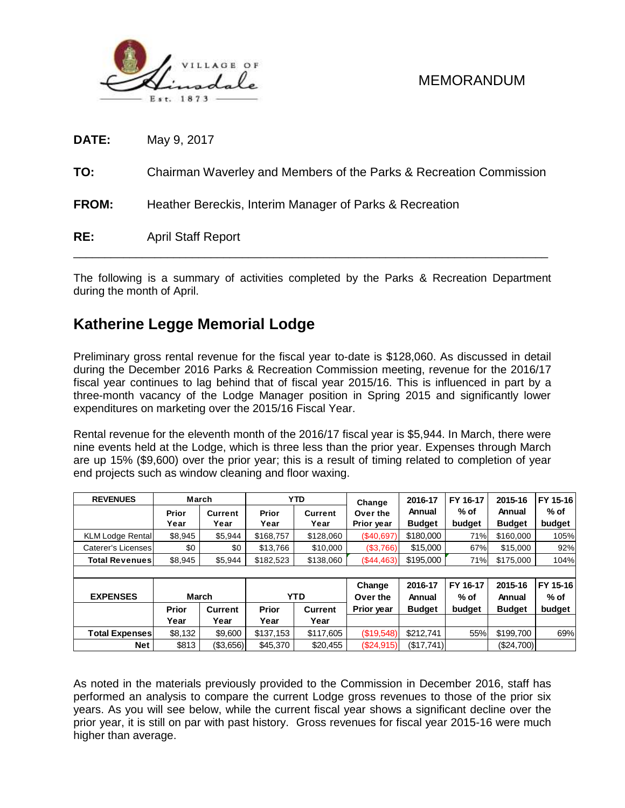

| <b>DATE:</b> | May 9, 2017                                                        |
|--------------|--------------------------------------------------------------------|
| TO:          | Chairman Waverley and Members of the Parks & Recreation Commission |
| <b>FROM:</b> | Heather Bereckis, Interim Manager of Parks & Recreation            |
| RE:          | <b>April Staff Report</b>                                          |

The following is a summary of activities completed by the Parks & Recreation Department during the month of April.

## **Katherine Legge Memorial Lodge**

Preliminary gross rental revenue for the fiscal year to-date is \$128,060. As discussed in detail during the December 2016 Parks & Recreation Commission meeting, revenue for the 2016/17 fiscal year continues to lag behind that of fiscal year 2015/16. This is influenced in part by a three-month vacancy of the Lodge Manager position in Spring 2015 and significantly lower expenditures on marketing over the 2015/16 Fiscal Year.

Rental revenue for the eleventh month of the 2016/17 fiscal year is \$5,944. In March, there were nine events held at the Lodge, which is three less than the prior year. Expenses through March are up 15% (\$9,600) over the prior year; this is a result of timing related to completion of year end projects such as window cleaning and floor waxing.

| <b>REVENUES</b>                                                                                                                                                                                                                                                                                                                                                                                                                                                       |              | March          |              | <b>YTD</b>     | Change     | 2016-17       | FY 16-17 | 2015-16       | FY 15-16<br>% of |  |
|-----------------------------------------------------------------------------------------------------------------------------------------------------------------------------------------------------------------------------------------------------------------------------------------------------------------------------------------------------------------------------------------------------------------------------------------------------------------------|--------------|----------------|--------------|----------------|------------|---------------|----------|---------------|------------------|--|
|                                                                                                                                                                                                                                                                                                                                                                                                                                                                       | Prior        | <b>Current</b> | Prior        | <b>Current</b> | Over the   | Annual        | % of     | Annual        |                  |  |
|                                                                                                                                                                                                                                                                                                                                                                                                                                                                       | Year         | Year           | Year         | Year           | Prior year | <b>Budget</b> | budget   | <b>Budget</b> | budget           |  |
| <b>KLM Lodge Rental</b>                                                                                                                                                                                                                                                                                                                                                                                                                                               | \$8,945      | \$5,944        | \$168,757    | \$128,060      | (\$40,697) | \$180,000     | 71%      | \$160,000     | 105%             |  |
| Caterer's Licenses                                                                                                                                                                                                                                                                                                                                                                                                                                                    | \$0          | \$0            | \$13,766     | \$10,000       | (\$3,766)  | \$15,000      | 67%      | \$15,000      | 92%              |  |
| <b>Total Revenues</b>                                                                                                                                                                                                                                                                                                                                                                                                                                                 | \$8,945      | \$5,944        | \$182,523    | \$138,060      | (\$44,463) | \$195,000     | 71%      | \$175,000     | 104%             |  |
|                                                                                                                                                                                                                                                                                                                                                                                                                                                                       |              |                |              |                |            |               |          |               |                  |  |
|                                                                                                                                                                                                                                                                                                                                                                                                                                                                       |              |                |              |                | Change     | 2016-17       | FY 16-17 | 2015-16       | FY 15-16         |  |
| <b>EXPENSES</b>                                                                                                                                                                                                                                                                                                                                                                                                                                                       |              | March          |              | <b>YTD</b>     | Over the   | Annual        | $%$ of   | Annual        | % of             |  |
|                                                                                                                                                                                                                                                                                                                                                                                                                                                                       | <b>Prior</b> | <b>Current</b> | <b>Prior</b> | <b>Current</b> | Prior year | <b>Budget</b> | budget   | <b>Budget</b> | budget           |  |
|                                                                                                                                                                                                                                                                                                                                                                                                                                                                       | Year         | Year           | Year         | Year           |            |               |          |               |                  |  |
| <b>Total Expenses</b>                                                                                                                                                                                                                                                                                                                                                                                                                                                 | \$8,132      | \$9,600        | \$137,153    | \$117,605      | (\$19,548) | \$212,741     | 55%      | \$199,700     | 69%              |  |
| <b>Net</b>                                                                                                                                                                                                                                                                                                                                                                                                                                                            | \$813        |                | \$45,370     | \$20,455       | (\$24,915) |               |          |               |                  |  |
| (\$3,656)<br>(\$17,741)<br>(\$24,700)<br>As noted in the materials previously provided to the Commission in December 2016, staff has<br>performed an analysis to compare the current Lodge gross revenues to those of the prior six<br>years. As you will see below, while the current fiscal year shows a significant decline over the<br>prior year, it is still on par with past history. Gross revenues for fiscal year 2015-16 were much<br>higher than average. |              |                |              |                |            |               |          |               |                  |  |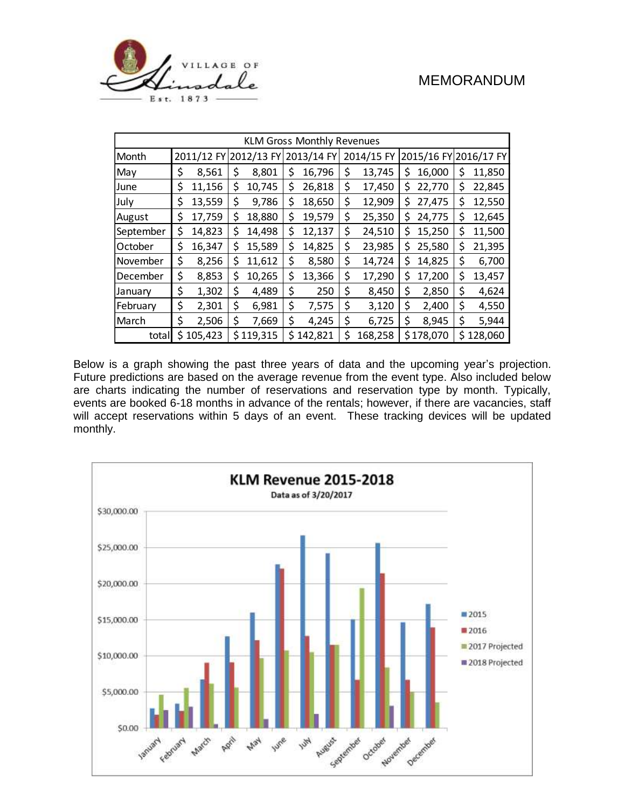



| <b>KLM Gross Monthly Revenues</b> |            |         |            |           |            |         |            |         |    |           |                       |         |
|-----------------------------------|------------|---------|------------|-----------|------------|---------|------------|---------|----|-----------|-----------------------|---------|
| Month                             | 2011/12 FY |         | 2012/13 FY |           | 2013/14 FY |         | 2014/15 FY |         |    |           | 2015/16 FY 2016/17 FY |         |
| May                               | \$         | 8,561   | \$         | 8,801     | \$         | 16,796  | \$         | 13,745  | \$ | 16,000    | \$                    | 11,850  |
| June                              | \$         | 11,156  | \$         | 10,745    | \$         | 26,818  | \$         | 17,450  | \$ | 22,770    | \$                    | 22,845  |
| July                              | \$         | 13,559  | \$         | 9,786     | \$         | 18,650  | \$         | 12,909  | \$ | 27,475    | \$                    | 12,550  |
| August                            | \$         | 17,759  | \$         | 18,880    | \$         | 19,579  | \$         | 25,350  | \$ | 24,775    | \$                    | 12,645  |
| September                         | \$         | 14,823  | \$         | 14,498    | \$         | 12,137  | \$         | 24,510  | \$ | 15,250    | \$                    | 11,500  |
| October                           | \$         | 16,347  | \$         | 15,589    | \$         | 14,825  | \$         | 23,985  | \$ | 25,580    | \$                    | 21,395  |
| November                          | \$         | 8,256   | \$         | 11,612    | \$         | 8,580   | \$         | 14,724  | Ś  | 14,825    | \$                    | 6,700   |
| December                          | \$         | 8,853   | \$         | 10,265    | \$         | 13,366  | \$         | 17,290  | \$ | 17,200    | \$                    | 13,457  |
| January                           | \$         | 1,302   | \$         | 4,489     | \$         | 250     | \$         | 8,450   | \$ | 2,850     | \$                    | 4,624   |
| February                          | \$         | 2,301   | \$         | 6,981     | \$         | 7,575   | \$         | 3,120   | \$ | 2,400     | \$                    | 4,550   |
| March                             | \$         | 2,506   | \$         | 7,669     | \$         | 4,245   | \$         | 6,725   | \$ | 8,945     | \$                    | 5,944   |
| total                             | \$         | 105,423 |            | \$119,315 | \$         | 142,821 | \$         | 168,258 |    | \$178,070 | \$                    | 128,060 |

Below is a graph showing the past three years of data and the upcoming year's projection. Future predictions are based on the average revenue from the event type. Also included below are charts indicating the number of reservations and reservation type by month. Typically, events are booked 6-18 months in advance of the rentals; however, if there are vacancies, staff will accept reservations within 5 days of an event. These tracking devices will be updated monthly.

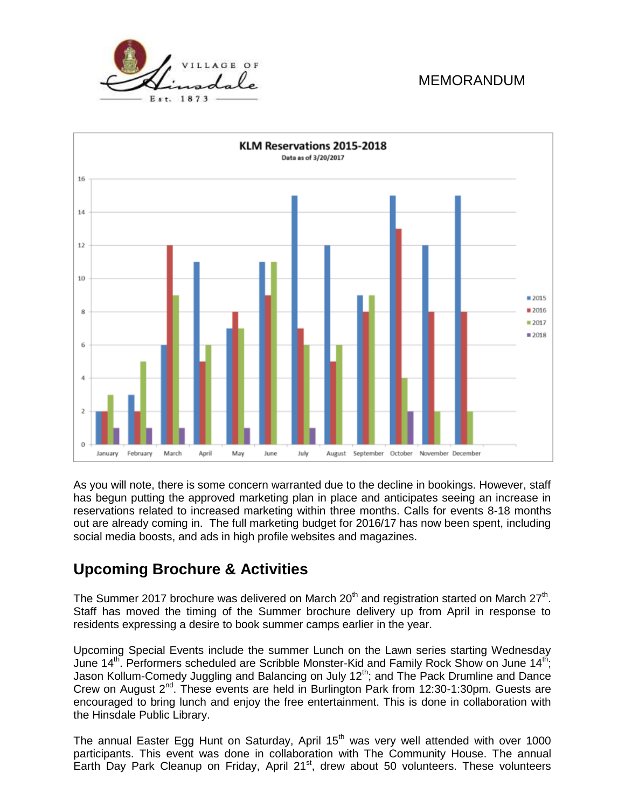



As you will note, there is some concern warranted due to the decline in bookings. However, staff has begun putting the approved marketing plan in place and anticipates seeing an increase in reservations related to increased marketing within three months. Calls for events 8-18 months out are already coming in. The full marketing budget for 2016/17 has now been spent, including social media boosts, and ads in high profile websites and magazines.

# **Upcoming Brochure & Activities**

The Summer 2017 brochure was delivered on March 20<sup>th</sup> and registration started on March 27<sup>th</sup>. Staff has moved the timing of the Summer brochure delivery up from April in response to residents expressing a desire to book summer camps earlier in the year.

Upcoming Special Events include the summer Lunch on the Lawn series starting Wednesday June 14<sup>th</sup>. Performers scheduled are Scribble Monster-Kid and Family Rock Show on June 14<sup>th</sup>; Jason Kollum-Comedy Juggling and Balancing on July 12<sup>th</sup>; and The Pack Drumline and Dance Crew on August 2<sup>nd</sup>. These events are held in Burlington Park from 12:30-1:30pm. Guests are encouraged to bring lunch and enjoy the free entertainment. This is done in collaboration with the Hinsdale Public Library.

The annual Easter Egg Hunt on Saturday, April  $15<sup>th</sup>$  was very well attended with over 1000 participants. This event was done in collaboration with The Community House. The annual Earth Day Park Cleanup on Friday, April 21<sup>st</sup>, drew about 50 volunteers. These volunteers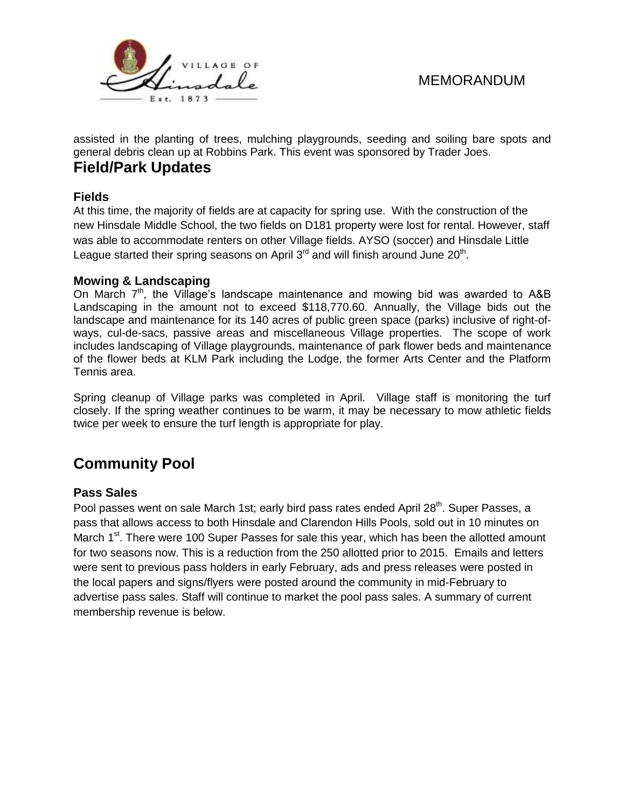

assisted in the planting of trees, mulching playgrounds, seeding and soiling bare spots and general debris clean up at Robbins Park. This event was sponsored by Trader Joes.

### **Field/Park Updates**

#### **Fields**

At this time, the majority of fields are at capacity for spring use. With the construction of the new Hinsdale Middle School, the two fields on D181 property were lost for rental. However, staff was able to accommodate renters on other Village fields. AYSO (soccer) and Hinsdale Little League started their spring seasons on April  $3<sup>rd</sup>$  and will finish around June  $20<sup>th</sup>$ .

#### **Mowing & Landscaping**

On March  $7<sup>th</sup>$ , the Village's landscape maintenance and mowing bid was awarded to A&B Landscaping in the amount not to exceed \$118,770.60. Annually, the Village bids out the landscape and maintenance for its 140 acres of public green space (parks) inclusive of right-ofways, cul-de-sacs, passive areas and miscellaneous Village properties. The scope of work includes landscaping of Village playgrounds, maintenance of park flower beds and maintenance of the flower beds at KLM Park including the Lodge, the former Arts Center and the Platform Tennis area.

Spring cleanup of Village parks was completed in April. Village staff is monitoring the turf closely. If the spring weather continues to be warm, it may be necessary to mow athletic fields twice per week to ensure the turf length is appropriate for play.

# **Community Pool**

#### **Pass Sales**

Pool passes went on sale March 1st; early bird pass rates ended April 28<sup>th</sup>. Super Passes, a pass that allows access to both Hinsdale and Clarendon Hills Pools, sold out in 10 minutes on March 1<sup>st</sup>. There were 100 Super Passes for sale this year, which has been the allotted amount for two seasons now. This is a reduction from the 250 allotted prior to 2015. Emails and letters were sent to previous pass holders in early February, ads and press releases were posted in the local papers and signs/flyers were posted around the community in mid-February to advertise pass sales. Staff will continue to market the pool pass sales. A summary of current membership revenue is below.